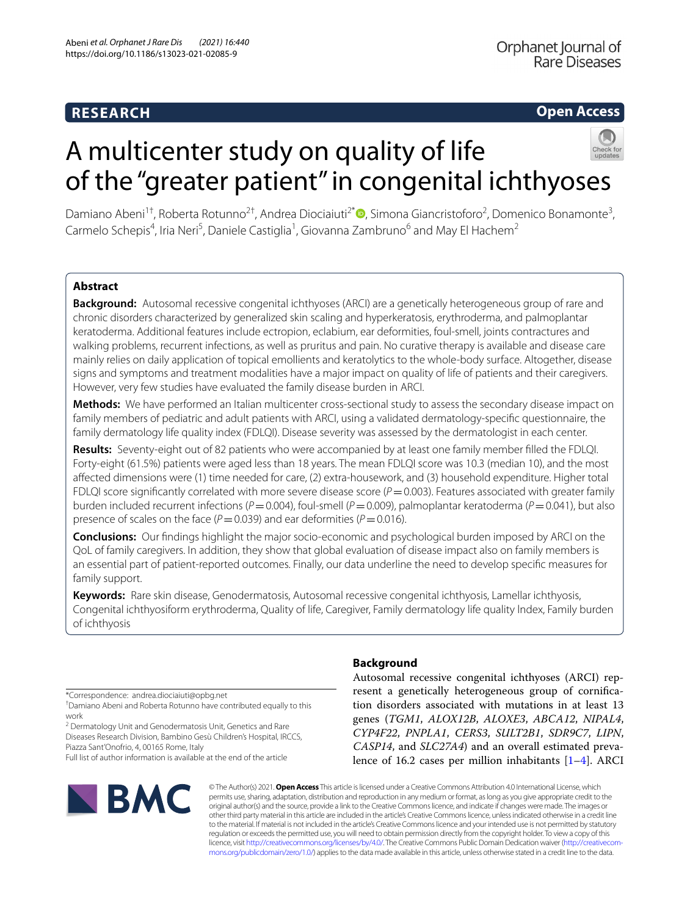## **RESEARCH**

## **Open Access**



# A multicenter study on quality of life of the "greater patient" in congenital ichthyoses

Damiano Abeni<sup>1†</sup>, Roberta Rotunno<sup>2†</sup>, Andrea Diociaiuti<sup>2[\\*](http://orcid.org/0000-0003-0879-9825)</sup> (**D**, Simona Giancristoforo<sup>2</sup>, Domenico Bonamonte<sup>3</sup>, Carmelo Schepis<sup>4</sup>, Iria Neri<sup>5</sup>, Daniele Castiglia<sup>1</sup>, Giovanna Zambruno<sup>6</sup> and May El Hachem<sup>2</sup>

## **Abstract**

**Background:** Autosomal recessive congenital ichthyoses (ARCI) are a genetically heterogeneous group of rare and chronic disorders characterized by generalized skin scaling and hyperkeratosis, erythroderma, and palmoplantar keratoderma. Additional features include ectropion, eclabium, ear deformities, foul-smell, joints contractures and walking problems, recurrent infections, as well as pruritus and pain. No curative therapy is available and disease care mainly relies on daily application of topical emollients and keratolytics to the whole-body surface. Altogether, disease signs and symptoms and treatment modalities have a major impact on quality of life of patients and their caregivers. However, very few studies have evaluated the family disease burden in ARCI.

**Methods:** We have performed an Italian multicenter cross-sectional study to assess the secondary disease impact on family members of pediatric and adult patients with ARCI, using a validated dermatology-specifc questionnaire, the family dermatology life quality index (FDLQI). Disease severity was assessed by the dermatologist in each center.

**Results:** Seventy-eight out of 82 patients who were accompanied by at least one family member flled the FDLQI. Forty-eight (61.5%) patients were aged less than 18 years. The mean FDLQI score was 10.3 (median 10), and the most afected dimensions were (1) time needed for care, (2) extra-housework, and (3) household expenditure. Higher total FDLQI score significantly correlated with more severe disease score  $(P=0.003)$ . Features associated with greater family burden included recurrent infections (*P*=0.004), foul-smell (*P*=0.009), palmoplantar keratoderma (*P*=0.041), but also presence of scales on the face ( $P=0.039$ ) and ear deformities ( $P=0.016$ ).

**Conclusions:** Our fndings highlight the major socio-economic and psychological burden imposed by ARCI on the QoL of family caregivers. In addition, they show that global evaluation of disease impact also on family members is an essential part of patient-reported outcomes. Finally, our data underline the need to develop specifc measures for family support.

**Keywords:** Rare skin disease, Genodermatosis, Autosomal recessive congenital ichthyosis, Lamellar ichthyosis, Congenital ichthyosiform erythroderma, Quality of life, Caregiver, Family dermatology life quality lndex, Family burden of ichthyosis

\*Correspondence: andrea.diociaiuti@opbg.net

† Damiano Abeni and Roberta Rotunno have contributed equally to this work

<sup>2</sup> Dermatology Unit and Genodermatosis Unit, Genetics and Rare Diseases Research Division, Bambino Gesù Children's Hospital, IRCCS, Piazza Sant'Onofrio, 4, 00165 Rome, Italy

Full list of author information is available at the end of the article



## **Background**

Autosomal recessive congenital ichthyoses (ARCI) represent a genetically heterogeneous group of cornifcation disorders associated with mutations in at least 13 genes (*TGM1*, *ALOX12B*, *ALOXE3*, *ABCA12*, *NIPAL4*, *CYP4F22*, *PNPLA1*, *CERS3*, *SULT2B1*, *SDR9C7*, *LIPN*, *CASP14*, and *SLC27A4*) and an overall estimated prevalence of 16.2 cases per million inhabitants [\[1](#page-7-0)[–4](#page-7-1)]. ARCI

© The Author(s) 2021. **Open Access** This article is licensed under a Creative Commons Attribution 4.0 International License, which permits use, sharing, adaptation, distribution and reproduction in any medium or format, as long as you give appropriate credit to the original author(s) and the source, provide a link to the Creative Commons licence, and indicate if changes were made. The images or other third party material in this article are included in the article's Creative Commons licence, unless indicated otherwise in a credit line to the material. If material is not included in the article's Creative Commons licence and your intended use is not permitted by statutory regulation or exceeds the permitted use, you will need to obtain permission directly from the copyright holder. To view a copy of this licence, visit [http://creativecommons.org/licenses/by/4.0/.](http://creativecommons.org/licenses/by/4.0/) The Creative Commons Public Domain Dedication waiver ([http://creativecom](http://creativecommons.org/publicdomain/zero/1.0/)[mons.org/publicdomain/zero/1.0/\)](http://creativecommons.org/publicdomain/zero/1.0/) applies to the data made available in this article, unless otherwise stated in a credit line to the data.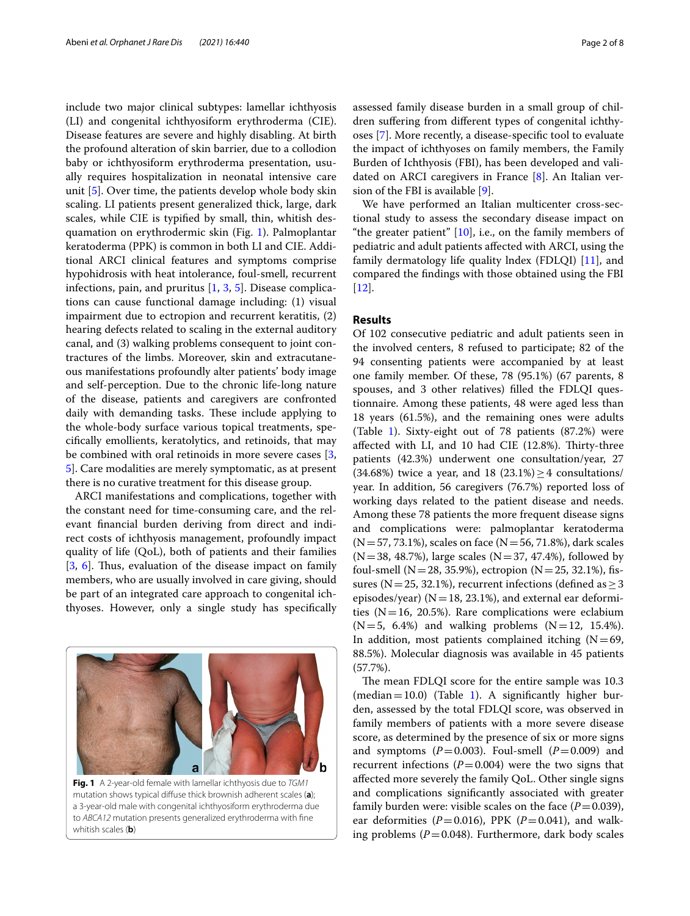include two major clinical subtypes: lamellar ichthyosis (LI) and congenital ichthyosiform erythroderma (CIE). Disease features are severe and highly disabling. At birth the profound alteration of skin barrier, due to a collodion baby or ichthyosiform erythroderma presentation, usually requires hospitalization in neonatal intensive care unit [\[5](#page-7-2)]. Over time, the patients develop whole body skin scaling. LI patients present generalized thick, large, dark scales, while CIE is typifed by small, thin, whitish desquamation on erythrodermic skin (Fig. [1\)](#page-1-0). Palmoplantar keratoderma (PPK) is common in both LI and CIE. Additional ARCI clinical features and symptoms comprise hypohidrosis with heat intolerance, foul-smell, recurrent infections, pain, and pruritus [[1,](#page-7-0) [3,](#page-7-3) [5\]](#page-7-2). Disease complications can cause functional damage including: (1) visual impairment due to ectropion and recurrent keratitis, (2) hearing defects related to scaling in the external auditory canal, and (3) walking problems consequent to joint contractures of the limbs. Moreover, skin and extracutaneous manifestations profoundly alter patients' body image and self-perception. Due to the chronic life-long nature of the disease, patients and caregivers are confronted daily with demanding tasks. These include applying to the whole-body surface various topical treatments, specifcally emollients, keratolytics, and retinoids, that may be combined with oral retinoids in more severe cases [\[3](#page-7-3), [5\]](#page-7-2). Care modalities are merely symptomatic, as at present there is no curative treatment for this disease group.

ARCI manifestations and complications, together with the constant need for time-consuming care, and the relevant fnancial burden deriving from direct and indirect costs of ichthyosis management, profoundly impact quality of life (QoL), both of patients and their families [[3,](#page-7-3) [6\]](#page-7-4). Thus, evaluation of the disease impact on family members, who are usually involved in care giving, should be part of an integrated care approach to congenital ichthyoses. However, only a single study has specifcally

<span id="page-1-0"></span>

assessed family disease burden in a small group of children sufering from diferent types of congenital ichthyoses [[7\]](#page-7-5). More recently, a disease-specifc tool to evaluate the impact of ichthyoses on family members, the Family Burden of Ichthyosis (FBI), has been developed and validated on ARCI caregivers in France [[8\]](#page-7-6). An Italian version of the FBI is available [\[9\]](#page-7-7).

We have performed an Italian multicenter cross-sectional study to assess the secondary disease impact on "the greater patient" [\[10](#page-7-8)], i.e., on the family members of pediatric and adult patients afected with ARCI, using the family dermatology life quality lndex (FDLQI) [[11](#page-7-9)], and compared the fndings with those obtained using the FBI [[12\]](#page-7-10).

## **Results**

Of 102 consecutive pediatric and adult patients seen in the involved centers, 8 refused to participate; 82 of the 94 consenting patients were accompanied by at least one family member. Of these, 78 (95.1%) (67 parents, 8 spouses, and 3 other relatives) flled the FDLQI questionnaire. Among these patients, 48 were aged less than 18 years (61.5%), and the remaining ones were adults (Table [1](#page-2-0)). Sixty-eight out of 78 patients (87.2%) were affected with LI, and 10 had CIE (12.8%). Thirty-three patients (42.3%) underwent one consultation/year, 27 (34.68%) twice a year, and 18 (23.1%)  $\geq$  4 consultations/ year. In addition, 56 caregivers (76.7%) reported loss of working days related to the patient disease and needs. Among these 78 patients the more frequent disease signs and complications were: palmoplantar keratoderma  $(N=57, 73.1\%)$ , scales on face  $(N=56, 71.8\%)$ , dark scales  $(N=38, 48.7%)$ , large scales  $(N=37, 47.4%)$ , followed by foul-smell (N=28, 35.9%), ectropion (N=25, 32.1%), fissures (N=25, 32.1%), recurrent infections (defined as  $\geq$  3 episodes/year) ( $N=18$ , 23.1%), and external ear deformities ( $N=16$ , 20.5%). Rare complications were eclabium  $(N=5, 6.4%)$  and walking problems  $(N=12, 15.4%).$ In addition, most patients complained itching  $(N=69, 69)$ 88.5%). Molecular diagnosis was available in 45 patients (57.7%).

The mean FDLQI score for the entire sample was 10.3 (median = 10.0) (Table [1\)](#page-2-0). A significantly higher burden, assessed by the total FDLQI score, was observed in family members of patients with a more severe disease score, as determined by the presence of six or more signs and symptoms  $(P=0.003)$ . Foul-smell  $(P=0.009)$  and recurrent infections  $(P=0.004)$  were the two signs that afected more severely the family QoL. Other single signs and complications signifcantly associated with greater family burden were: visible scales on the face  $(P=0.039)$ , ear deformities ( $P=0.016$ ), PPK ( $P=0.041$ ), and walking problems  $(P=0.048)$ . Furthermore, dark body scales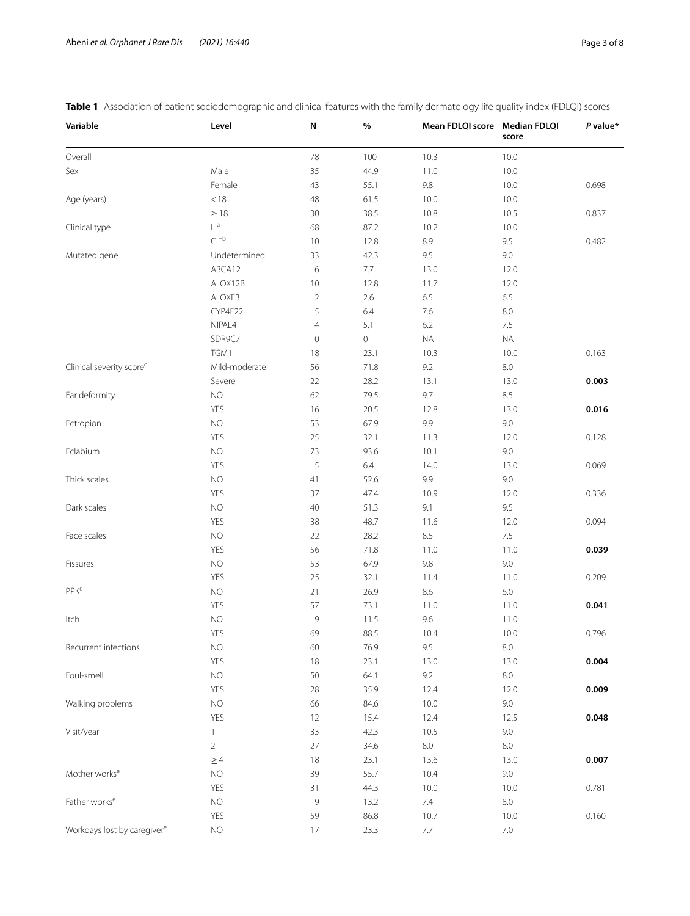<span id="page-2-0"></span>**Table 1** Association of patient sociodemographic and clinical features with the family dermatology life quality index (FDLQI) scores

| Variable                                | Level                             | N              | $\%$        | Mean FDLQI score Median FDLQI | score     | P value* |
|-----------------------------------------|-----------------------------------|----------------|-------------|-------------------------------|-----------|----------|
| Overall                                 |                                   | $78\,$         | 100         | 10.3                          | 10.0      |          |
| Sex                                     | Male                              | 35             | 44.9        | 11.0                          | 10.0      |          |
|                                         | Female                            | 43             | 55.1        | 9.8                           | 10.0      | 0.698    |
| Age (years)                             | $<18\,$                           | 48             | 61.5        | 10.0                          | 10.0      |          |
|                                         | $\geq$ 18                         | 30             | 38.5        | 10.8                          | 10.5      | 0.837    |
| Clinical type                           | $\mathsf{L}\mathsf{I}^\mathsf{a}$ | 68             | 87.2        | 10.2                          | 10.0      |          |
|                                         | $CIE^b$                           | 10             | 12.8        | 8.9                           | 9.5       | 0.482    |
| Mutated gene                            | Undetermined                      | 33             | 42.3        | 9.5                           | 9.0       |          |
|                                         | ABCA12                            | 6              | 7.7         | 13.0                          | 12.0      |          |
|                                         | ALOX12B                           | 10             | 12.8        | 11.7                          | 12.0      |          |
|                                         | ALOXE3                            | $\overline{2}$ | 2.6         | 6.5                           | 6.5       |          |
|                                         | CYP4F22                           | 5              | 6.4         | 7.6                           | 8.0       |          |
|                                         | NIPAL4                            | $\overline{4}$ | 5.1         | 6.2                           | 7.5       |          |
|                                         | SDR9C7                            | $\mathbf 0$    | $\mathbb O$ | $\sf NA$                      | <b>NA</b> |          |
|                                         | TGM1                              | 18             | 23.1        | 10.3                          | 10.0      | 0.163    |
| Clinical severity scored                | Mild-moderate                     | 56             | 71.8        | $9.2\,$                       | $8.0\,$   |          |
|                                         | Severe                            | 22             | 28.2        | 13.1                          | 13.0      | 0.003    |
| Ear deformity                           | <b>NO</b>                         | 62             | 79.5        | 9.7                           | 8.5       |          |
|                                         | YES                               | 16             | 20.5        | 12.8                          | 13.0      | 0.016    |
| Ectropion                               | <b>NO</b>                         | 53             | 67.9        | 9.9                           | 9.0       |          |
|                                         | YES                               | 25             | 32.1        | 11.3                          | 12.0      | 0.128    |
| Eclabium                                | <b>NO</b>                         | 73             | 93.6        | 10.1                          | 9.0       |          |
|                                         | YES                               | 5              | 6.4         | 14.0                          | 13.0      | 0.069    |
| Thick scales                            | <b>NO</b>                         | 41             | 52.6        | 9.9                           | 9.0       |          |
|                                         | YES                               | 37             | 47.4        | 10.9                          | 12.0      | 0.336    |
| Dark scales                             | <b>NO</b>                         | 40             | 51.3        | 9.1                           | 9.5       |          |
|                                         | YES                               | 38             | 48.7        | 11.6                          | 12.0      | 0.094    |
| Face scales                             | <b>NO</b>                         | 22             | 28.2        | 8.5                           | $7.5\,$   |          |
|                                         | YES                               | 56             | 71.8        | 11.0                          | 11.0      | 0.039    |
| Fissures                                | NO                                | 53             | 67.9        | $9.8\,$                       | 9.0       |          |
|                                         | YES                               | 25             | 32.1        | 11.4                          | 11.0      | 0.209    |
| PPK <sup>c</sup>                        | $NO$                              | 21             | 26.9        | 8.6                           | $6.0\,$   |          |
|                                         | YES                               | 57             | 73.1        | 11.0                          | 11.0      | 0.041    |
| Itch                                    | <b>NO</b>                         | 9              | 11.5        | 9.6                           | 11.0      |          |
|                                         | <b>YES</b>                        | 69             | 88.5        | 10.4                          | 10.0      | 0.796    |
| Recurrent infections                    | <b>NO</b>                         | 60             | 76.9        | 9.5                           | $8.0\,$   |          |
|                                         | <b>YES</b>                        | 18             | 23.1        | 13.0                          | 13.0      | 0.004    |
| Foul-smell                              | <b>NO</b>                         | 50             | 64.1        | 9.2                           | $8.0\,$   |          |
|                                         | YES                               | 28             | 35.9        | 12.4                          | 12.0      | 0.009    |
| Walking problems                        | <b>NO</b>                         | 66             | 84.6        | 10.0                          | 9.0       |          |
|                                         | YES                               | 12             | 15.4        | 12.4                          | 12.5      | 0.048    |
| Visit/year                              | $\mathbf{1}$                      | 33             | 42.3        | 10.5                          | 9.0       |          |
|                                         | $\overline{a}$                    | 27             | 34.6        | $8.0\,$                       | $8.0\,$   |          |
|                                         | $\geq$ 4                          | 18             | 23.1        | 13.6                          | 13.0      | 0.007    |
| Mother works <sup>e</sup>               | <b>NO</b>                         | 39             | 55.7        | 10.4                          | 9.0       |          |
|                                         | YES                               | 31             | 44.3        | 10.0                          | 10.0      | 0.781    |
| Father works <sup>e</sup>               | <b>NO</b>                         | $\mathcal{G}$  | 13.2        | 7.4                           | $8.0\,$   |          |
|                                         | YES                               | 59             | 86.8        | 10.7                          | 10.0      | 0.160    |
| Workdays lost by caregiver <sup>e</sup> | <b>NO</b>                         | 17             | 23.3        | 7.7                           | $7.0\,$   |          |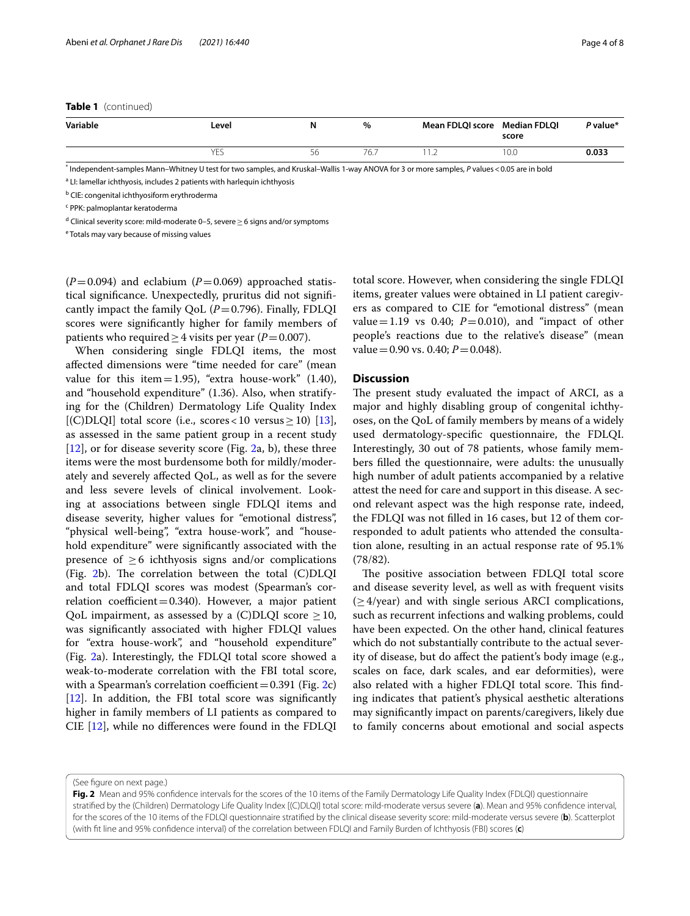## **Table 1** (continued)

| Variable | Level | N  | $\%$ | Mean FDLQI score Median FDLQI | score | P value* |
|----------|-------|----|------|-------------------------------|-------|----------|
|          | YES   | 56 | 76., |                               | 10.0  | 0.033    |

\* Independent-samples Mann–Whitney U test for two samples, and Kruskal–Wallis 1-way ANOVA for 3 or more samples, *P* values<0.05 are in bold

<sup>a</sup> LI: lamellar ichthyosis, includes 2 patients with harlequin ichthyosis

<sup>b</sup> CIE: congenital ichthyosiform erythroderma

c PPK: palmoplantar keratoderma

<sup>d</sup> Clinical severity score: mild-moderate 0–5, severe ≥ 6 signs and/or symptoms

<sup>e</sup> Totals may vary because of missing values

 $(P=0.094)$  and eclabium  $(P=0.069)$  approached statistical signifcance. Unexpectedly, pruritus did not signifcantly impact the family QoL  $(P=0.796)$ . Finally, FDLQI scores were signifcantly higher for family members of patients who required  $\geq$  4 visits per year (*P*=0.007).

When considering single FDLQI items, the most afected dimensions were "time needed for care" (mean value for this item=1.95), "extra house-work"  $(1.40)$ , and "household expenditure" (1.36). Also, when stratifying for the (Children) Dermatology Life Quality Index [(C)DLQI] total score (i.e., scores < 10 versus  $\geq$  10) [\[13](#page-7-11)], as assessed in the same patient group in a recent study  $[12]$  $[12]$ , or for disease severity score (Fig. [2a](#page-3-0), b), these three items were the most burdensome both for mildly/moderately and severely afected QoL, as well as for the severe and less severe levels of clinical involvement. Looking at associations between single FDLQI items and disease severity, higher values for "emotional distress", "physical well-being", "extra house-work", and "household expenditure" were signifcantly associated with the presence of  $\geq 6$  ichthyosis signs and/or complications (Fig.  $2b$ ). The correlation between the total (C)DLQI and total FDLQI scores was modest (Spearman's correlation coefficient=0.340). However, a major patient QoL impairment, as assessed by a  $(C)DLQI$  score  $\geq 10$ , was signifcantly associated with higher FDLQI values for "extra house-work", and "household expenditure" (Fig. [2](#page-3-0)a). Interestingly, the FDLQI total score showed a weak-to-moderate correlation with the FBI total score, with a Spearman's correlation coefficient =  $0.391$  (Fig. [2](#page-3-0)c) [[12\]](#page-7-10). In addition, the FBI total score was significantly higher in family members of LI patients as compared to CIE [[12\]](#page-7-10), while no diferences were found in the FDLQI

total score. However, when considering the single FDLQI items, greater values were obtained in LI patient caregivers as compared to CIE for "emotional distress" (mean value=1.19 vs 0.40;  $P=0.010$ ), and "impact of other people's reactions due to the relative's disease" (mean value =  $0.90$  vs.  $0.40; P = 0.048$ .

## **Discussion**

The present study evaluated the impact of ARCI, as a major and highly disabling group of congenital ichthyoses, on the QoL of family members by means of a widely used dermatology-specifc questionnaire, the FDLQI. Interestingly, 30 out of 78 patients, whose family members flled the questionnaire, were adults: the unusually high number of adult patients accompanied by a relative attest the need for care and support in this disease. A second relevant aspect was the high response rate, indeed, the FDLQI was not flled in 16 cases, but 12 of them corresponded to adult patients who attended the consultation alone, resulting in an actual response rate of 95.1% (78/82).

The positive association between FDLQI total score and disease severity level, as well as with frequent visits  $(\geq 4$ /year) and with single serious ARCI complications, such as recurrent infections and walking problems, could have been expected. On the other hand, clinical features which do not substantially contribute to the actual severity of disease, but do afect the patient's body image (e.g., scales on face, dark scales, and ear deformities), were also related with a higher FDLQI total score. This finding indicates that patient's physical aesthetic alterations may signifcantly impact on parents/caregivers, likely due to family concerns about emotional and social aspects

(See fgure on next page.)

<span id="page-3-0"></span>Fig. 2 Mean and 95% confidence intervals for the scores of the 10 items of the Family Dermatology Life Quality Index (FDLQI) questionnaire stratifed by the (Children) Dermatology Life Quality Index [(C)DLQI] total score: mild-moderate versus severe (**a**). Mean and 95% confdence interval, for the scores of the 10 items of the FDLQI questionnaire stratifed by the clinical disease severity score: mild-moderate versus severe (**b**). Scatterplot (with ft line and 95% confdence interval) of the correlation between FDLQI and Family Burden of Ichthyosis (FBI) scores (**c**)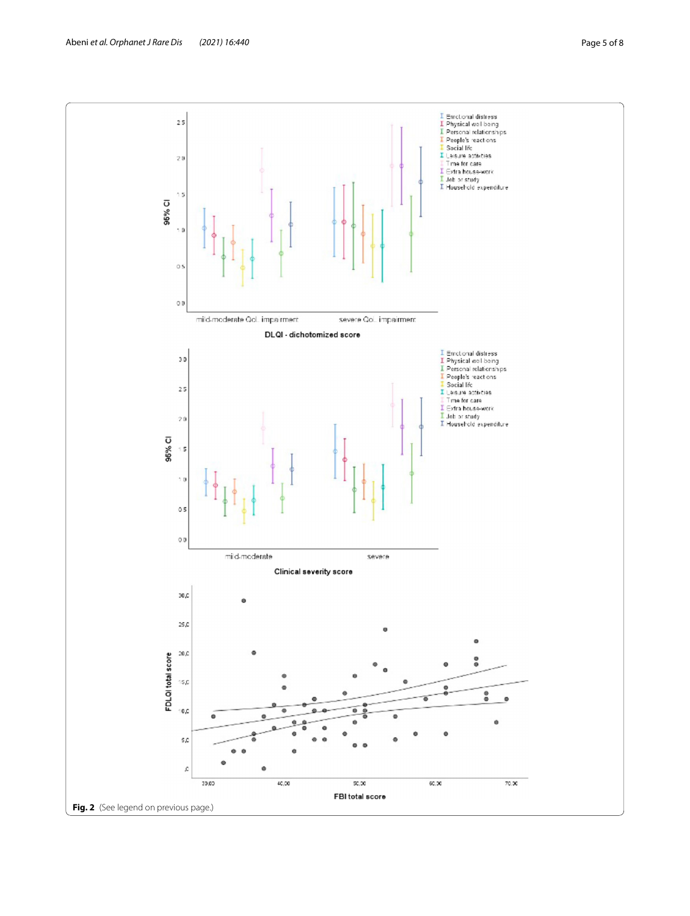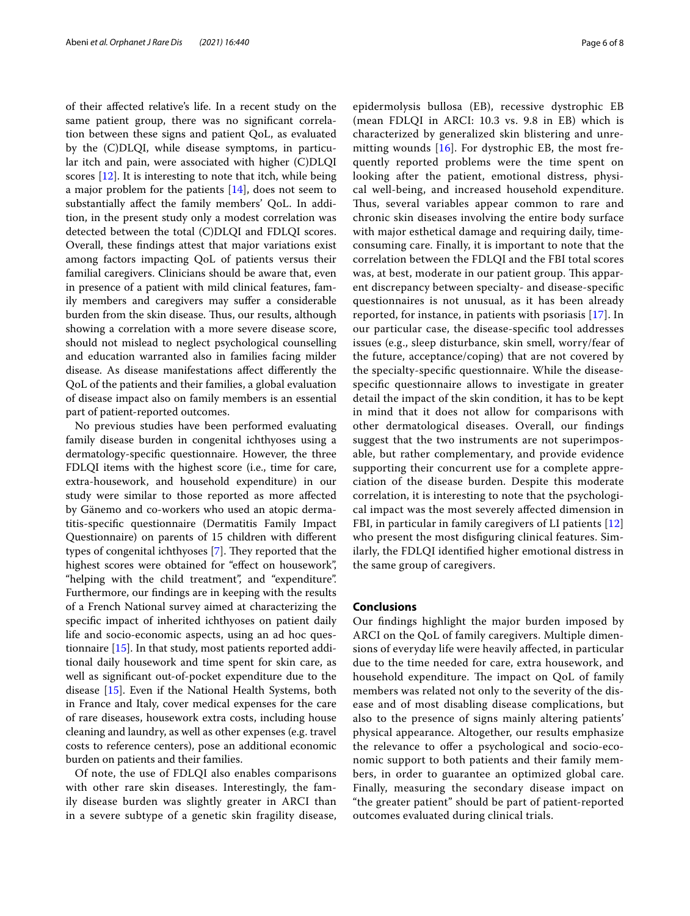of their afected relative's life. In a recent study on the same patient group, there was no signifcant correlation between these signs and patient QoL, as evaluated by the (C)DLQI, while disease symptoms, in particular itch and pain, were associated with higher (C)DLQI scores [\[12\]](#page-7-10). It is interesting to note that itch, while being a major problem for the patients [[14\]](#page-7-12), does not seem to substantially afect the family members' QoL. In addition, in the present study only a modest correlation was detected between the total (C)DLQI and FDLQI scores. Overall, these fndings attest that major variations exist among factors impacting QoL of patients versus their familial caregivers. Clinicians should be aware that, even in presence of a patient with mild clinical features, family members and caregivers may suffer a considerable burden from the skin disease. Thus, our results, although showing a correlation with a more severe disease score, should not mislead to neglect psychological counselling and education warranted also in families facing milder disease. As disease manifestations afect diferently the QoL of the patients and their families, a global evaluation of disease impact also on family members is an essential part of patient-reported outcomes.

No previous studies have been performed evaluating family disease burden in congenital ichthyoses using a dermatology-specifc questionnaire. However, the three FDLQI items with the highest score (i.e., time for care, extra-housework, and household expenditure) in our study were similar to those reported as more afected by Gänemo and co-workers who used an atopic dermatitis-specifc questionnaire (Dermatitis Family Impact Questionnaire) on parents of 15 children with diferent types of congenital ichthyoses [[7\]](#page-7-5). They reported that the highest scores were obtained for "effect on housework", "helping with the child treatment", and "expenditure". Furthermore, our fndings are in keeping with the results of a French National survey aimed at characterizing the specifc impact of inherited ichthyoses on patient daily life and socio-economic aspects, using an ad hoc questionnaire [\[15](#page-7-13)]. In that study, most patients reported additional daily housework and time spent for skin care, as well as signifcant out-of-pocket expenditure due to the disease [[15\]](#page-7-13). Even if the National Health Systems, both in France and Italy, cover medical expenses for the care of rare diseases, housework extra costs, including house cleaning and laundry, as well as other expenses (e.g. travel costs to reference centers), pose an additional economic burden on patients and their families.

Of note, the use of FDLQI also enables comparisons with other rare skin diseases. Interestingly, the family disease burden was slightly greater in ARCI than in a severe subtype of a genetic skin fragility disease, epidermolysis bullosa (EB), recessive dystrophic EB (mean FDLQI in ARCI: 10.3 vs. 9.8 in EB) which is characterized by generalized skin blistering and unremitting wounds  $[16]$  $[16]$  $[16]$ . For dystrophic EB, the most frequently reported problems were the time spent on looking after the patient, emotional distress, physical well-being, and increased household expenditure. Thus, several variables appear common to rare and chronic skin diseases involving the entire body surface with major esthetical damage and requiring daily, timeconsuming care. Finally, it is important to note that the correlation between the FDLQI and the FBI total scores was, at best, moderate in our patient group. This apparent discrepancy between specialty- and disease-specifc questionnaires is not unusual, as it has been already reported, for instance, in patients with psoriasis [\[17\]](#page-7-15). In our particular case, the disease-specifc tool addresses issues (e.g., sleep disturbance, skin smell, worry/fear of the future, acceptance/coping) that are not covered by the specialty-specifc questionnaire. While the diseasespecifc questionnaire allows to investigate in greater detail the impact of the skin condition, it has to be kept in mind that it does not allow for comparisons with other dermatological diseases. Overall, our fndings suggest that the two instruments are not superimposable, but rather complementary, and provide evidence supporting their concurrent use for a complete appreciation of the disease burden. Despite this moderate correlation, it is interesting to note that the psychological impact was the most severely afected dimension in FBI, in particular in family caregivers of LI patients [\[12](#page-7-10)] who present the most disfguring clinical features. Similarly, the FDLQI identifed higher emotional distress in the same group of caregivers.

## **Conclusions**

Our fndings highlight the major burden imposed by ARCI on the QoL of family caregivers. Multiple dimensions of everyday life were heavily afected, in particular due to the time needed for care, extra housework, and household expenditure. The impact on QoL of family members was related not only to the severity of the disease and of most disabling disease complications, but also to the presence of signs mainly altering patients' physical appearance. Altogether, our results emphasize the relevance to ofer a psychological and socio-economic support to both patients and their family members, in order to guarantee an optimized global care. Finally, measuring the secondary disease impact on "the greater patient" should be part of patient-reported outcomes evaluated during clinical trials.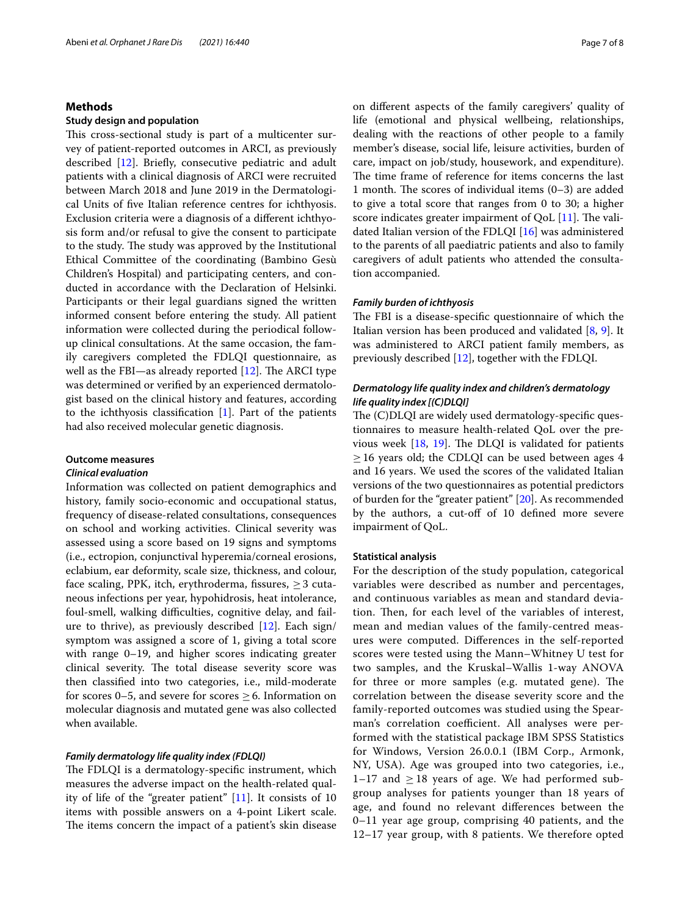## **Methods**

## **Study design and population**

This cross-sectional study is part of a multicenter survey of patient-reported outcomes in ARCI, as previously described [\[12\]](#page-7-10). Briefy, consecutive pediatric and adult patients with a clinical diagnosis of ARCI were recruited between March 2018 and June 2019 in the Dermatological Units of fve Italian reference centres for ichthyosis. Exclusion criteria were a diagnosis of a diferent ichthyosis form and/or refusal to give the consent to participate to the study. The study was approved by the Institutional Ethical Committee of the coordinating (Bambino Gesù Children's Hospital) and participating centers, and conducted in accordance with the Declaration of Helsinki. Participants or their legal guardians signed the written informed consent before entering the study. All patient information were collected during the periodical followup clinical consultations. At the same occasion, the family caregivers completed the FDLQI questionnaire, as well as the FBI—as already reported  $[12]$  $[12]$ . The ARCI type was determined or verifed by an experienced dermatologist based on the clinical history and features, according to the ichthyosis classification  $[1]$ . Part of the patients had also received molecular genetic diagnosis.

## **Outcome measures**

## *Clinical evaluation*

Information was collected on patient demographics and history, family socio-economic and occupational status, frequency of disease-related consultations, consequences on school and working activities. Clinical severity was assessed using a score based on 19 signs and symptoms (i.e., ectropion, conjunctival hyperemia/corneal erosions, eclabium, ear deformity, scale size, thickness, and colour, face scaling, PPK, itch, erythroderma, fissures,  $\geq 3$  cutaneous infections per year, hypohidrosis, heat intolerance, foul-smell, walking difficulties, cognitive delay, and failure to thrive), as previously described [[12\]](#page-7-10). Each sign/ symptom was assigned a score of 1, giving a total score with range 0–19, and higher scores indicating greater clinical severity. The total disease severity score was then classifed into two categories, i.e., mild-moderate for scores 0–5, and severe for scores  $\geq$  6. Information on molecular diagnosis and mutated gene was also collected when available.

## *Family dermatology life quality index (FDLQI)*

The FDLQI is a dermatology-specific instrument, which measures the adverse impact on the health-related quality of life of the "greater patient" [\[11](#page-7-9)]. It consists of 10 items with possible answers on a 4-point Likert scale. The items concern the impact of a patient's skin disease on diferent aspects of the family caregivers' quality of life (emotional and physical wellbeing, relationships, dealing with the reactions of other people to a family member's disease, social life, leisure activities, burden of care, impact on job/study, housework, and expenditure). The time frame of reference for items concerns the last 1 month. The scores of individual items  $(0-3)$  are added to give a total score that ranges from 0 to 30; a higher score indicates greater impairment of  $QoL$  [[11\]](#page-7-9). The validated Italian version of the FDLQI [\[16](#page-7-14)] was administered to the parents of all paediatric patients and also to family caregivers of adult patients who attended the consultation accompanied.

## *Family burden of ichthyosis*

The FBI is a disease-specific questionnaire of which the Italian version has been produced and validated [[8,](#page-7-6) [9\]](#page-7-7). It was administered to ARCI patient family members, as previously described [\[12](#page-7-10)], together with the FDLQI.

## *Dermatology life quality index and children's dermatology life quality index [(C)DLQI]*

The (C)DLQI are widely used dermatology-specific questionnaires to measure health-related QoL over the previous week  $[18, 19]$  $[18, 19]$  $[18, 19]$  $[18, 19]$ . The DLQI is validated for patients  $\geq$  16 years old; the CDLQI can be used between ages 4 and 16 years. We used the scores of the validated Italian versions of the two questionnaires as potential predictors of burden for the "greater patient" [\[20](#page-7-18)]. As recommended by the authors, a cut-off of 10 defined more severe impairment of QoL.

#### **Statistical analysis**

For the description of the study population, categorical variables were described as number and percentages, and continuous variables as mean and standard deviation. Then, for each level of the variables of interest, mean and median values of the family-centred measures were computed. Diferences in the self-reported scores were tested using the Mann–Whitney U test for two samples, and the Kruskal–Wallis 1-way ANOVA for three or more samples (e.g. mutated gene). The correlation between the disease severity score and the family-reported outcomes was studied using the Spearman's correlation coefficient. All analyses were performed with the statistical package IBM SPSS Statistics for Windows, Version 26.0.0.1 (IBM Corp., Armonk, NY, USA). Age was grouped into two categories, i.e.,  $1-17$  and  $\geq 18$  years of age. We had performed subgroup analyses for patients younger than 18 years of age, and found no relevant diferences between the 0–11 year age group, comprising 40 patients, and the 12–17 year group, with 8 patients. We therefore opted